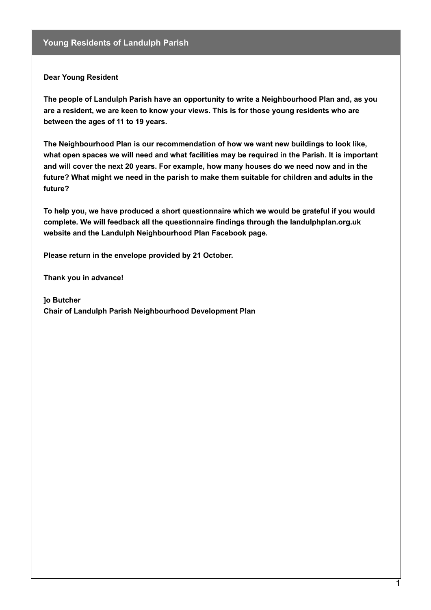**Dear Young Resident**

**The people of Landulph Parish have an opportunity to write a Neighbourhood Plan and, as you are a resident, we are keen to know your views. This is for those young residents who are between the ages of 11 to 19 years.**

**The Neighbourhood Plan is our recommendation of how we want new buildings to look like, what open spaces we will need and what facilities may be required in the Parish. It is important and will cover the next 20 years. For example, how many houses do we need now and in the future? What might we need in the parish to make them suitable for children and adults in the future?**

**To help you, we have produced a short questionnaire which we would be grateful if you would complete. We will feedback all the questionnaire findings through the landulphplan.org.uk website and the Landulph Neighbourhood Plan Facebook page.**

**Please return in the envelope provided by 21 October.**

**Thank you in advance!**

**]o Butcher Chair of Landulph Parish Neighbourhood Development Plan**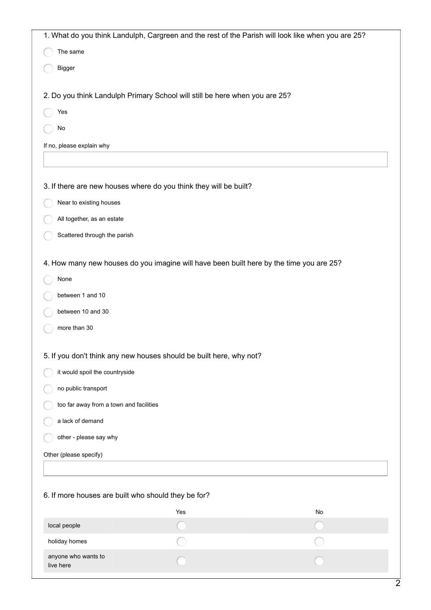| 1. What do you think Landulph, Cargreen and the rest of the Parish will look like when you are 25? |                                                                                         |    |
|----------------------------------------------------------------------------------------------------|-----------------------------------------------------------------------------------------|----|
| The same                                                                                           |                                                                                         |    |
| Bigger                                                                                             |                                                                                         |    |
|                                                                                                    |                                                                                         |    |
|                                                                                                    | 2. Do you think Landulph Primary School will still be here when you are 25?             |    |
| Yes                                                                                                |                                                                                         |    |
| $\mathsf{No}$                                                                                      |                                                                                         |    |
| If no, please explain why                                                                          |                                                                                         |    |
|                                                                                                    |                                                                                         |    |
|                                                                                                    | 3. If there are new houses where do you think they will be built?                       |    |
| Near to existing houses                                                                            |                                                                                         |    |
| All together, as an estate                                                                         |                                                                                         |    |
| Scattered through the parish                                                                       |                                                                                         |    |
|                                                                                                    | 4. How many new houses do you imagine will have been built here by the time you are 25? |    |
| None                                                                                               |                                                                                         |    |
| between 1 and 10                                                                                   |                                                                                         |    |
| between 10 and 30                                                                                  |                                                                                         |    |
| more than 30                                                                                       |                                                                                         |    |
|                                                                                                    | 5. If you don't think any new houses should be built here, why not?                     |    |
| it would spoil the countryside                                                                     |                                                                                         |    |
| no public transport                                                                                |                                                                                         |    |
| too far away from a town and facilities                                                            |                                                                                         |    |
| a lack of demand                                                                                   |                                                                                         |    |
| other - please say why                                                                             |                                                                                         |    |
| Other (please specify)                                                                             |                                                                                         |    |
|                                                                                                    |                                                                                         |    |
|                                                                                                    |                                                                                         |    |
| 6. If more houses are built who should they be for?                                                |                                                                                         |    |
|                                                                                                    | Yes                                                                                     | No |
| local people                                                                                       |                                                                                         |    |
| holiday homes                                                                                      |                                                                                         |    |
| anyone who wants to<br>live here                                                                   |                                                                                         |    |